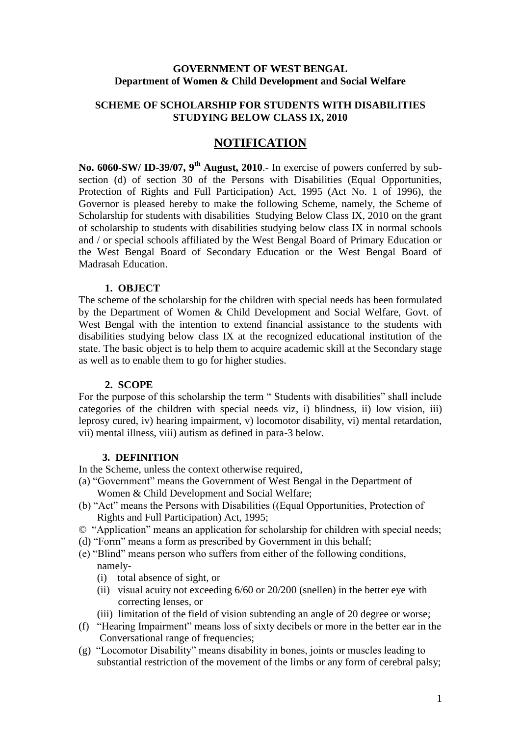#### **GOVERNMENT OF WEST BENGAL Department of Women & Child Development and Social Welfare**

#### **SCHEME OF SCHOLARSHIP FOR STUDENTS WITH DISABILITIES STUDYING BELOW CLASS IX, 2010**

# **NOTIFICATION**

**No. 6060-SW/ ID-39/07, 9th August, 2010**.- In exercise of powers conferred by subsection (d) of section 30 of the Persons with Disabilities (Equal Opportunities, Protection of Rights and Full Participation) Act, 1995 (Act No. 1 of 1996), the Governor is pleased hereby to make the following Scheme, namely, the Scheme of Scholarship for students with disabilities Studying Below Class IX, 2010 on the grant of scholarship to students with disabilities studying below class IX in normal schools and / or special schools affiliated by the West Bengal Board of Primary Education or the West Bengal Board of Secondary Education or the West Bengal Board of Madrasah Education.

#### **1. OBJECT**

The scheme of the scholarship for the children with special needs has been formulated by the Department of Women & Child Development and Social Welfare, Govt. of West Bengal with the intention to extend financial assistance to the students with disabilities studying below class IX at the recognized educational institution of the state. The basic object is to help them to acquire academic skill at the Secondary stage as well as to enable them to go for higher studies.

#### **2. SCOPE**

For the purpose of this scholarship the term " Students with disabilities" shall include categories of the children with special needs viz, i) blindness, ii) low vision, iii) leprosy cured, iv) hearing impairment, v) locomotor disability, vi) mental retardation, vii) mental illness, viii) autism as defined in para-3 below.

#### **3. DEFINITION**

In the Scheme, unless the context otherwise required,

- (a) "Government" means the Government of West Bengal in the Department of Women & Child Development and Social Welfare;
- (b) "Act" means the Persons with Disabilities ((Equal Opportunities, Protection of Rights and Full Participation) Act, 1995;
- © "Application" means an application for scholarship for children with special needs;
- (d) "Form" means a form as prescribed by Government in this behalf;
- (e) "Blind" means person who suffers from either of the following conditions, namely-
	- (i) total absence of sight, or
	- (ii) visual acuity not exceeding 6/60 or 20/200 (snellen) in the better eye with correcting lenses, or
	- (iii) limitation of the field of vision subtending an angle of 20 degree or worse;
- (f) "Hearing Impairment" means loss of sixty decibels or more in the better ear in the Conversational range of frequencies;
- (g) "Locomotor Disability" means disability in bones, joints or muscles leading to substantial restriction of the movement of the limbs or any form of cerebral palsy;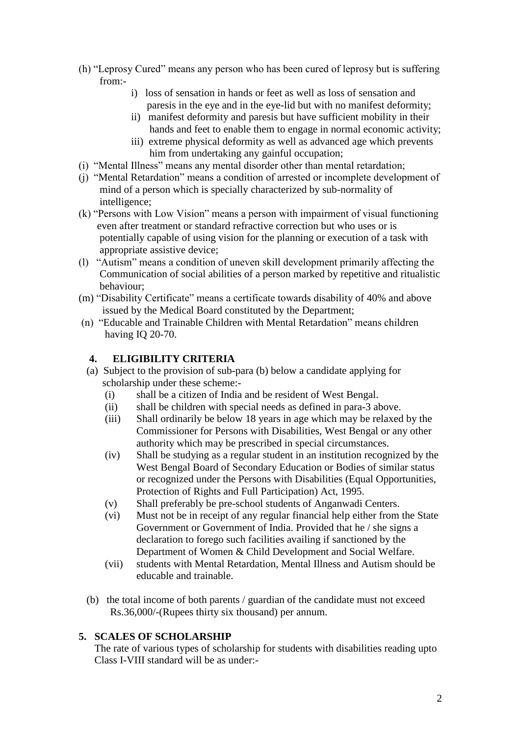- (h) "Leprosy Cured" means any person who has been cured of leprosy but is suffering from:
	- i) loss of sensation in hands or feet as well as loss of sensation and paresis in the eye and in the eye-lid but with no manifest deformity;
	- ii) manifest deformity and paresis but have sufficient mobility in their hands and feet to enable them to engage in normal economic activity;
	- iii) extreme physical deformity as well as advanced age which prevents him from undertaking any gainful occupation;
- (i) "Mental Illness" means any mental disorder other than mental retardation;
- (j) "Mental Retardation" means a condition of arrested or incomplete development of mind of a person which is specially characterized by sub-normality of intelligence;
- (k) "Persons with Low Vision" means a person with impairment of visual functioning even after treatment or standard refractive correction but who uses or is potentially capable of using vision for the planning or execution of a task with appropriate assistive device;
- (l) "Autism" means a condition of uneven skill development primarily affecting the Communication of social abilities of a person marked by repetitive and ritualistic behaviour;
- (m) "Disability Certificate" means a certificate towards disability of 40% and above issued by the Medical Board constituted by the Department;
- (n) "Educable and Trainable Children with Mental Retardation" means children having IQ 20-70.

### **4. ELIGIBILITY CRITERIA**

- (a) Subject to the provision of sub-para (b) below a candidate applying for scholarship under these scheme:-
	- (i) shall be a citizen of India and be resident of West Bengal.
	- (ii) shall be children with special needs as defined in para-3 above.
	- (iii) Shall ordinarily be below 18 years in age which may be relaxed by the Commissioner for Persons with Disabilities, West Bengal or any other authority which may be prescribed in special circumstances.
	- (iv) Shall be studying as a regular student in an institution recognized by the West Bengal Board of Secondary Education or Bodies of similar status or recognized under the Persons with Disabilities (Equal Opportunities, Protection of Rights and Full Participation) Act, 1995.
	- (v) Shall preferably be pre-school students of Anganwadi Centers.
	- (vi) Must not be in receipt of any regular financial help either from the State Government or Government of India. Provided that he / she signs a declaration to forego such facilities availing if sanctioned by the Department of Women & Child Development and Social Welfare.
	- (vii) students with Mental Retardation, Mental Illness and Autism should be educable and trainable.
- (b) the total income of both parents / guardian of the candidate must not exceed Rs.36,000/-(Rupees thirty six thousand) per annum.

### **5. SCALES OF SCHOLARSHIP**

 The rate of various types of scholarship for students with disabilities reading upto Class I-VIII standard will be as under:-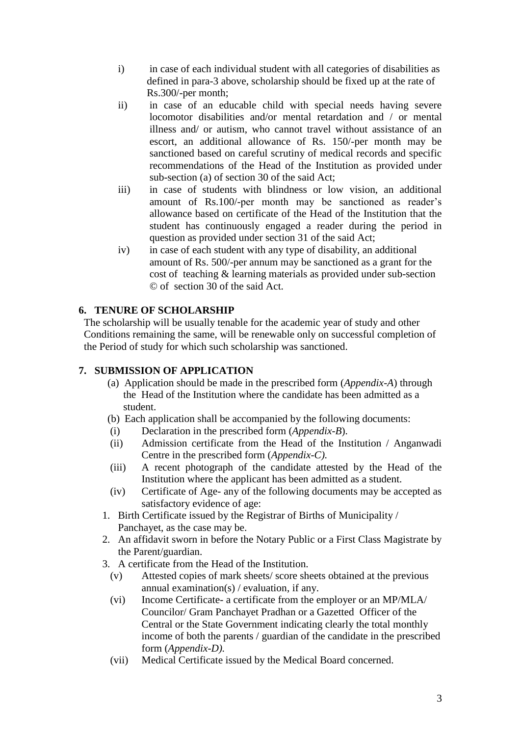- i) in case of each individual student with all categories of disabilities as defined in para-3 above, scholarship should be fixed up at the rate of Rs.300/-per month;
- ii) in case of an educable child with special needs having severe locomotor disabilities and/or mental retardation and / or mental illness and/ or autism, who cannot travel without assistance of an escort, an additional allowance of Rs. 150/-per month may be sanctioned based on careful scrutiny of medical records and specific recommendations of the Head of the Institution as provided under sub-section (a) of section 30 of the said Act;
- iii) in case of students with blindness or low vision, an additional amount of Rs.100/-per month may be sanctioned as reader's allowance based on certificate of the Head of the Institution that the student has continuously engaged a reader during the period in question as provided under section 31 of the said Act;
- iv) in case of each student with any type of disability, an additional amount of Rs. 500/-per annum may be sanctioned as a grant for the cost of teaching & learning materials as provided under sub-section © of section 30 of the said Act.

# **6. TENURE OF SCHOLARSHIP**

 The scholarship will be usually tenable for the academic year of study and other Conditions remaining the same, will be renewable only on successful completion of the Period of study for which such scholarship was sanctioned.

### **7. SUBMISSION OF APPLICATION**

- (a) Application should be made in the prescribed form (*Appendix-A*) through the Head of the Institution where the candidate has been admitted as a student.
- (b) Each application shall be accompanied by the following documents:
- (i) Declaration in the prescribed form (*Appendix-B*).
- (ii) Admission certificate from the Head of the Institution / Anganwadi Centre in the prescribed form (*Appendix-C).*
- (iii) A recent photograph of the candidate attested by the Head of the Institution where the applicant has been admitted as a student.
- (iv) Certificate of Age- any of the following documents may be accepted as satisfactory evidence of age:
- 1. Birth Certificate issued by the Registrar of Births of Municipality / Panchayet, as the case may be.
- 2. An affidavit sworn in before the Notary Public or a First Class Magistrate by the Parent/guardian.
- 3. A certificate from the Head of the Institution.
	- (v) Attested copies of mark sheets/ score sheets obtained at the previous annual examination(s) / evaluation, if any.
	- (vi) Income Certificate- a certificate from the employer or an MP/MLA/ Councilor/ Gram Panchayet Pradhan or a Gazetted Officer of the Central or the State Government indicating clearly the total monthly income of both the parents / guardian of the candidate in the prescribed form (*Appendix-D).*
	- (vii) Medical Certificate issued by the Medical Board concerned.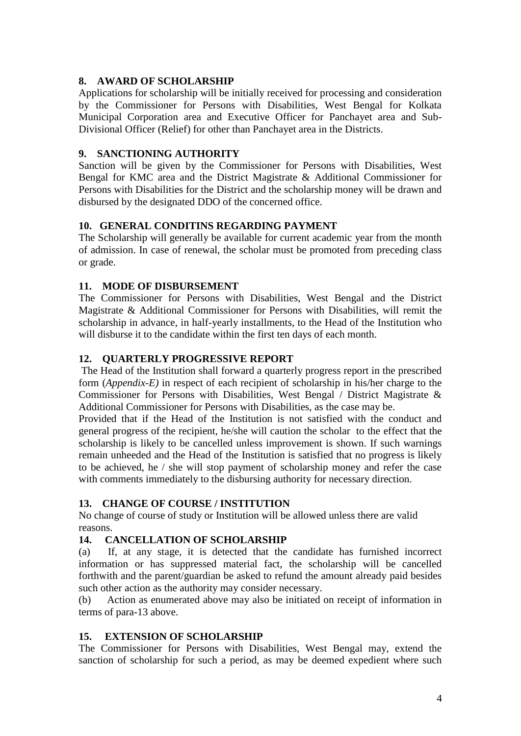### **8. AWARD OF SCHOLARSHIP**

Applications for scholarship will be initially received for processing and consideration by the Commissioner for Persons with Disabilities, West Bengal for Kolkata Municipal Corporation area and Executive Officer for Panchayet area and Sub-Divisional Officer (Relief) for other than Panchayet area in the Districts.

### **9. SANCTIONING AUTHORITY**

Sanction will be given by the Commissioner for Persons with Disabilities, West Bengal for KMC area and the District Magistrate & Additional Commissioner for Persons with Disabilities for the District and the scholarship money will be drawn and disbursed by the designated DDO of the concerned office.

### **10. GENERAL CONDITINS REGARDING PAYMENT**

The Scholarship will generally be available for current academic year from the month of admission. In case of renewal, the scholar must be promoted from preceding class or grade.

### **11. MODE OF DISBURSEMENT**

The Commissioner for Persons with Disabilities, West Bengal and the District Magistrate & Additional Commissioner for Persons with Disabilities, will remit the scholarship in advance, in half-yearly installments, to the Head of the Institution who will disburse it to the candidate within the first ten days of each month.

### **12. QUARTERLY PROGRESSIVE REPORT**

The Head of the Institution shall forward a quarterly progress report in the prescribed form (*Appendix-E)* in respect of each recipient of scholarship in his/her charge to the Commissioner for Persons with Disabilities, West Bengal / District Magistrate & Additional Commissioner for Persons with Disabilities, as the case may be.

Provided that if the Head of the Institution is not satisfied with the conduct and general progress of the recipient, he/she will caution the scholar to the effect that the scholarship is likely to be cancelled unless improvement is shown. If such warnings remain unheeded and the Head of the Institution is satisfied that no progress is likely to be achieved, he / she will stop payment of scholarship money and refer the case with comments immediately to the disbursing authority for necessary direction.

### **13. CHANGE OF COURSE / INSTITUTION**

No change of course of study or Institution will be allowed unless there are valid reasons.

### **14. CANCELLATION OF SCHOLARSHIP**

(a) If, at any stage, it is detected that the candidate has furnished incorrect information or has suppressed material fact, the scholarship will be cancelled forthwith and the parent/guardian be asked to refund the amount already paid besides such other action as the authority may consider necessary.

(b) Action as enumerated above may also be initiated on receipt of information in terms of para-13 above.

### **15. EXTENSION OF SCHOLARSHIP**

The Commissioner for Persons with Disabilities, West Bengal may, extend the sanction of scholarship for such a period, as may be deemed expedient where such